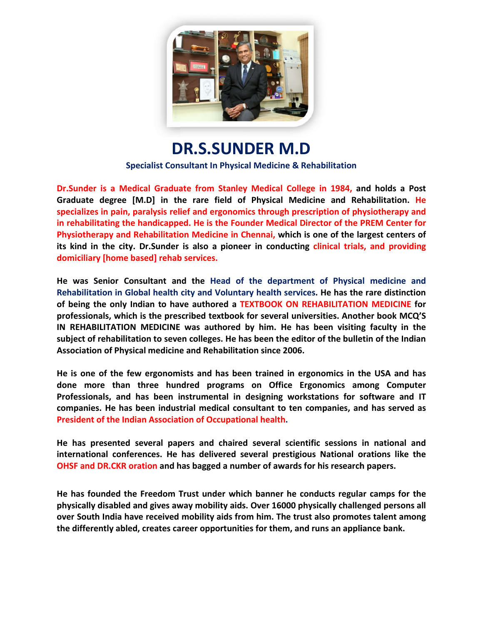

**DR.S.SUNDER M.D** 

**Specialist Consultant In Physical Medicine & Rehabilitation**

**Dr.Sunder is a Medical Graduate from Stanley Medical College in 1984, and holds a Post holds a Post Graduate degree [M.D] in the rare field of Physical Medicine and Rehabilitation. He specializes in pain, paralysis relief and ergonomics through prescription of physiotherapy and in rehabilitating the handicapped. He is the Founder Medical Director of the PREM Center for Physiotherapy and Rehabilitation Medicine in Chennai, which is one of the largest centers of**  its kind in the city. Dr.Sunder is also a pioneer in conducting clinical trials, and **domiciliary [home based] rehab services services.** of physiotherapy and<br> **i** the PREM Center for<br>
the largest centers of<br>
trials, and providing

He was Senior Consultant and the Head of the department of Physical medicine and<br>Rehabilitation in Global health city and Voluntary health services. He has the rare distinction<br>of being the only Indian to have authored a T Rehabilitation in Global health city and Voluntary health services. He has the rare distinction **of being the only Indian to have authored a TEXTBOOK ON REHABILITATION MEDICINE professionals, which is the prescribed textbook for several universities , universities. Anoth Another book MCQ'S**  IN REHABILITATION MEDICINE was authored by him. He has been visiting faculty in the **subject of rehabilitation to seven colleges. He has been the editor of the bulletin of the Indian Association of Physical medicine and Rehabilitation since 2006.**  subject of rehabilitation to seven colleges. He has been the editor of the bulletin of the Indian<br>Association of Physical medicine and Rehabilitation since 2006.<br>He is one of the few ergonomists and has been trained in erg

**done more than three hundred programs on Office Ergonomics among Computer Professionals, and has been instrumental in designing workstations for software and IT**  companies. He has been industrial medical consultant to ten companies, and has served as President of the Indian Association of Occupational health.

**He has presented several papers and chaired several scientific sessions in national and international conferences. He has delivered several prestigious National orations like the OHSF and DR.CKR oration and h has bagged a number of awards for his research papers.**

He has founded the Freedom Trust under which banner he conducts regular camps for the<br>physically disabled and gives away mobility aids. Over 16000 physically challenged persons all physically disabled and gives away mobility aids. Over 16000 physically challenged persons **over South India have received mobility aids from him. The trust also promotes talent among**  over South India have received mobility aids from him. The trust also promotes talent a**<br>the differently abled, creates career opportunities for them, and runs an appliance bank.**